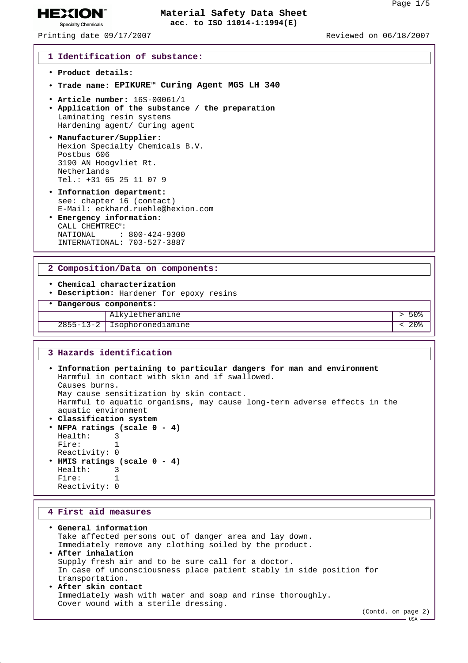Printing date 09/17/2007 Reviewed on 06/18/2007

**HEXION® Specialty Chemicals** 

#### **1 Identification of substance:**

- **Product details:**
- **Trade name: EPIKURETM Curing Agent MGS LH 340**
- **Article number:** 16S-00061/1
- **Application of the substance / the preparation** Laminating resin systems Hardening agent/ Curing agent
- **Manufacturer/Supplier:** Hexion Specialty Chemicals B.V. Postbus 606 3190 AN Hoogvliet Rt. Netherlands Tel.: +31 65 25 11 07 9
- **Information department:** see: chapter 16 (contact) E-Mail: eckhard.ruehle@hexion.com
- **Emergency information:** CALL CHEMTREC®: NATIONAL : 800-424-9300 INTERNATIONAL: 703-527-3887

#### **2 Composition/Data on components:**

- **Chemical characterization**
- **Description:** Hardener for epoxy resins
- **Dangerous components:**

# Alkyletheramine  $\vert$  > 50% 2855-13-2 Isophoronediamine < 20%

#### **3 Hazards identification**

• **Information pertaining to particular dangers for man and environment** Harmful in contact with skin and if swallowed. Causes burns. May cause sensitization by skin contact. Harmful to aquatic organisms, may cause long-term adverse effects in the aquatic environment • **Classification system** • **NFPA ratings (scale 0 - 4)** Health: 3<br>Fire: 1 Fire: Reactivity: 0 • **HMIS ratings (scale 0 - 4)** Health: 3

Fire: 1 Reactivity: 0

## **4 First aid measures**

• **General information** Take affected persons out of danger area and lay down. Immediately remove any clothing soiled by the product. • **After inhalation** Supply fresh air and to be sure call for a doctor. In case of unconsciousness place patient stably in side position for transportation. • **After skin contact** Immediately wash with water and soap and rinse thoroughly. Cover wound with a sterile dressing.

 $-$  USA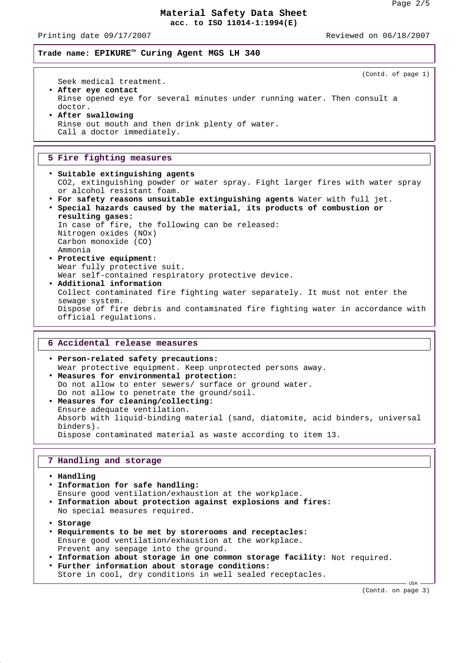Printing date 09/17/2007 Reviewed on 06/18/2007

**Trade name: EPIKURETM Curing Agent MGS LH 340**

(Contd. of page 1) Seek medical treatment. • **After eye contact** Rinse opened eye for several minutes under running water. Then consult a doctor. • **After swallowing** Rinse out mouth and then drink plenty of water. Call a doctor immediately.

### **5 Fire fighting measures**

- **Suitable extinguishing agents** CO2, extinguishing powder or water spray. Fight larger fires with water spray or alcohol resistant foam.
- **For safety reasons unsuitable extinguishing agents** Water with full jet. • **Special hazards caused by the material, its products of combustion or**
- **resulting gases:** In case of fire, the following can be released: Nitrogen oxides (NOx) Carbon monoxide (CO) Ammonia • **Protective equipment:** Wear fully protective suit.
- Wear self-contained respiratory protective device. • **Additional information** Collect contaminated fire fighting water separately. It must not enter the sewage system. Dispose of fire debris and contaminated fire fighting water in accordance with official regulations.

## **6 Accidental release measures**

• **Person-related safety precautions:** Wear protective equipment. Keep unprotected persons away. • **Measures for environmental protection:** Do not allow to enter sewers/ surface or ground water. Do not allow to penetrate the ground/soil. • **Measures for cleaning/collecting:** Ensure adequate ventilation. Absorb with liquid-binding material (sand, diatomite, acid binders, universal binders).

Dispose contaminated material as waste according to item 13.

### **7 Handling and storage**

• **Handling**

- **Information for safe handling:** Ensure good ventilation/exhaustion at the workplace. • **Information about protection against explosions and fires:** No special measures required. • **Storage**
- **Requirements to be met by storerooms and receptacles:** Ensure good ventilation/exhaustion at the workplace. Prevent any seepage into the ground.
- **Information about storage in one common storage facility:** Not required. • **Further information about storage conditions:**
- Store in cool, dry conditions in well sealed receptacles.

(Contd. on page 3)

- USA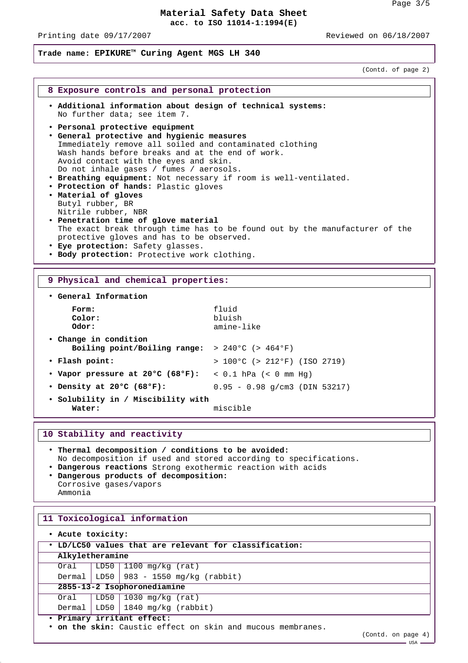Printing date 09/17/2007 Reviewed on 06/18/2007

# **Trade name: EPIKURETM Curing Agent MGS LH 340**

(Contd. of page 2)

# **8 Exposure controls and personal protection** • **Additional information about design of technical systems:** No further data; see item 7. • **Personal protective equipment** • **General protective and hygienic measures** Immediately remove all soiled and contaminated clothing Wash hands before breaks and at the end of work. Avoid contact with the eyes and skin. Do not inhale gases / fumes / aerosols. • **Breathing equipment:** Not necessary if room is well-ventilated. • **Protection of hands:** Plastic gloves • **Material of gloves** Butyl rubber, BR Nitrile rubber, NBR • **Penetration time of glove material** The exact break through time has to be found out by the manufacturer of the protective gloves and has to be observed. • **Eye protection:** Safety glasses.

• **Body protection:** Protective work clothing.

## **9 Physical and chemical properties:**

| • General Information                                                                        |                                        |
|----------------------------------------------------------------------------------------------|----------------------------------------|
| Form:<br>Color:<br>Odor:                                                                     | fluid<br>bluish<br>amine-like          |
| • Change in condition<br>Boiling point/Boiling range: $> 240^{\circ}$ C ( $> 464^{\circ}$ F) |                                        |
| • Flash point:                                                                               | $> 100^{\circ}$ C (> 212°F) (ISO 2719) |
| • Vapor pressure at 20°C (68°F): < 0.1 hPa (< 0 mm Hq)                                       |                                        |
| • Density at $20^{\circ}$ C (68°F):                                                          | $0.95 - 0.98$ q/cm3 (DIN 53217)        |
| • Solubility in / Miscibility with<br>Water:                                                 | miscible                               |

### **10 Stability and reactivity**

- **Thermal decomposition / conditions to be avoided:** No decomposition if used and stored according to specifications. • **Dangerous reactions** Strong exothermic reaction with acids
- **Dangerous products of decomposition:** Corrosive gases/vapors
- Ammonia

## **11 Toxicological information**

| . Acute toxicity:                                           |  |                                           |  |  |  |
|-------------------------------------------------------------|--|-------------------------------------------|--|--|--|
| . LD/LC50 values that are relevant for classification:      |  |                                           |  |  |  |
| Alkyletheramine                                             |  |                                           |  |  |  |
| Oral                                                        |  | LD50   1100 mg/kg (rat)                   |  |  |  |
|                                                             |  | Dermal   LD50   983 - 1550 mg/kg (rabbit) |  |  |  |
| 2855-13-2 Isophoronediamine                                 |  |                                           |  |  |  |
| Oral                                                        |  | LD50   1030 mg/kg (rat)                   |  |  |  |
|                                                             |  | Dermal   LD50   1840 mg/kg $(rabbit)$     |  |  |  |
| · Primary irritant effect:                                  |  |                                           |  |  |  |
| • on the skin: Caustic effect on skin and mucous membranes. |  |                                           |  |  |  |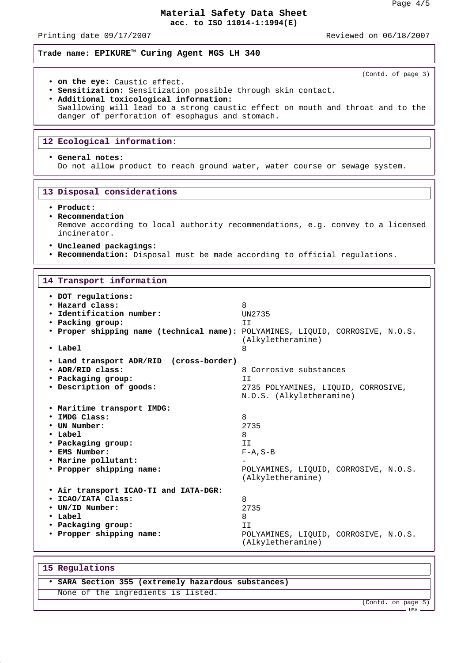Printing date 09/17/2007 Reviewed on 06/18/2007

(Contd. of page 3)

**Trade name: EPIKURETM Curing Agent MGS LH 340**

- **on the eye:** Caustic effect.
- **Sensitization:** Sensitization possible through skin contact.
- **Additional toxicological information:** Swallowing will lead to a strong caustic effect on mouth and throat and to the danger of perforation of esophagus and stomach.

## **12 Ecological information:**

## • **General notes:**

Do not allow product to reach ground water, water course or sewage system.

#### **13 Disposal considerations**

#### • **Product:**

• **Recommendation**

Remove according to local authority recommendations, e.g. convey to a licensed incinerator.

- **Uncleaned packagings:**
- **Recommendation:** Disposal must be made according to official regulations.

## **14 Transport information**

| • DOT regulations:<br>· Hazard class:<br>· Identification number:<br>• Packing group:<br>. Proper shipping name (technical name): POLYAMINES, LIQUID, CORROSIVE, N.O.S.<br>$\cdot$ Label | 8<br>UN2735<br>TT.<br>(Alkyletheramine)<br>8                                                             |
|------------------------------------------------------------------------------------------------------------------------------------------------------------------------------------------|----------------------------------------------------------------------------------------------------------|
| • Land transport ADR/RID (cross-border)                                                                                                                                                  | 8 Corrosive substances                                                                                   |
| • ADR/RID class:                                                                                                                                                                         | TT.                                                                                                      |
| • Packaging group:                                                                                                                                                                       | 2735 POLYAMINES, LIQUID, CORROSIVE,                                                                      |
| • Description of goods:                                                                                                                                                                  | N.O.S. (Alkyletheramine)                                                                                 |
| . Maritime transport IMDG:<br>· IMDG Class:<br>• UN Number:<br>• Label<br>• Packaging group:<br>• EMS Number:<br>. Marine pollutant:<br>• Propper shipping name:                         | 8<br>2735<br>8<br>TT.<br>$F - A$ , $S - B$<br>POLYAMINES, LIQUID, CORROSIVE, N.O.S.<br>(Alkyletheramine) |
| . Air transport ICAO-TI and IATA-DGR:                                                                                                                                                    | 8                                                                                                        |
| · ICAO/IATA Class:                                                                                                                                                                       | 2735                                                                                                     |
| • UN/ID Number:                                                                                                                                                                          | 8                                                                                                        |
| $\cdot$ Label                                                                                                                                                                            | II                                                                                                       |
| • Packaging group:                                                                                                                                                                       | POLYAMINES, LIQUID, CORROSIVE, N.O.S.                                                                    |
| • Propper shipping name:                                                                                                                                                                 | (Alkyletheramine)                                                                                        |

### **15 Regulations**

# • **SARA Section 355 (extremely hazardous substances)** None of the ingredients is listed.

(Contd. on page 5)

USA